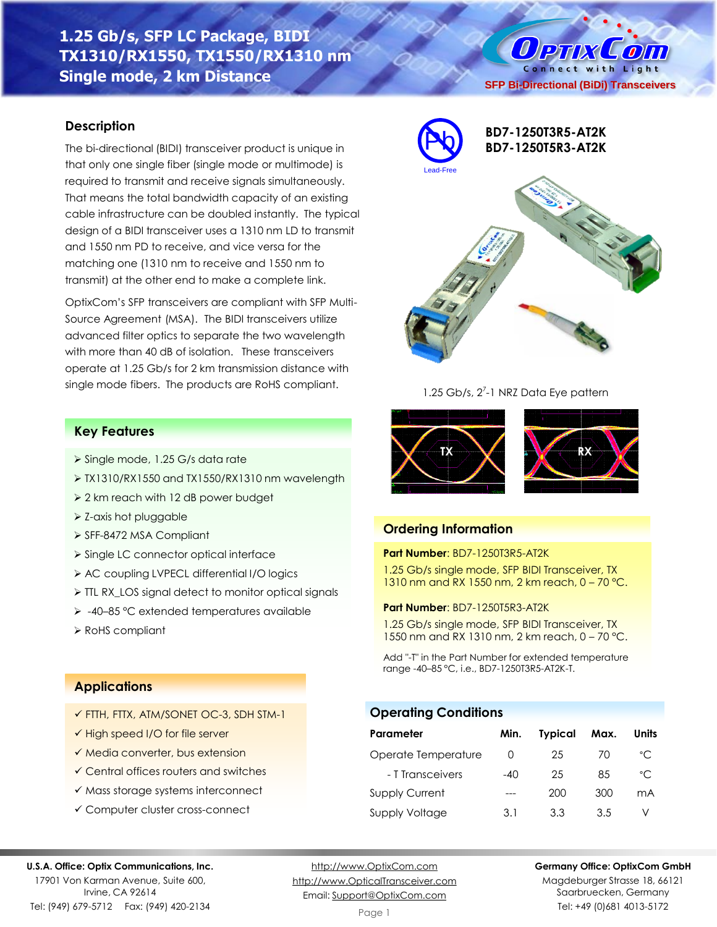# **1.25 Gb/s, SFP LC Package, BIDI TX1310/RX1550, TX1550/RX1310 nm Single mode, 2 km Distance**

# **Description**

The bi-directional (BIDI) transceiver product is unique in that only one single fiber (single mode or multimode) is required to transmit and receive signals simultaneously. That means the total bandwidth capacity of an existing cable infrastructure can be doubled instantly. The typical design of a BIDI transceiver uses a 1310 nm LD to transmit and 1550 nm PD to receive, and vice versa for the matching one (1310 nm to receive and 1550 nm to transmit) at the other end to make a complete link.

OptixCom's SFP transceivers are compliant with SFP Multi-Source Agreement (MSA). The BIDI transceivers utilize advanced filter optics to separate the two wavelength with more than 40 dB of isolation. These transceivers operate at 1.25 Gb/s for 2 km transmission distance with single mode fibers. The products are RoHS compliant.

# **Key Features**

- ➢ Single mode, 1.25 G/s data rate
- ➢ TX1310/RX1550 and TX1550/RX1310 nm wavelength
- ➢ 2 km reach with 12 dB power budget
- ➢ Z-axis hot pluggable
- ➢ SFF-8472 MSA Compliant
- ➢ Single LC connector optical interface
- ➢ AC coupling LVPECL differential I/O logics
- ➢ TTL RX\_LOS signal detect to monitor optical signals
- ➢ -40–85 °C extended temperatures available
- ➢ RoHS compliant



### 1.25 Gb/s, 2<sup>7</sup>-1 NRZ Data Eye pattern



## **Ordering Information**

#### **Part Number**: BD7-1250T3R5-AT2K

1.25 Gb/s single mode, SFP BIDI Transceiver, TX 1310 nm and RX 1550 nm, 2 km reach, 0 – 70 °C.

#### **Part Number**: BD7-1250T5R3-AT2K

1.25 Gb/s single mode, SFP BIDI Transceiver, TX 1550 nm and RX 1310 nm, 2 km reach, 0 – 70 °C.

Add "-T" in the Part Number for extended temperature range -40–85 °C, i.e., BD7-1250T3R5-AT2K-T.

### **Operating Conditions**

| Parameter             | Min.             | <b>Typical</b> | Max. | Units |
|-----------------------|------------------|----------------|------|-------|
| Operate Temperature   | $\left( \right)$ | 25             | 70   | °C    |
| - T Transceivers      | $-40$            | 25             | 85   | °C    |
| <b>Supply Current</b> |                  | 200            | 300  | mA    |
| Supply Voltage        | 3.1              | 3.3            | 3.5  |       |

### **Applications**

- ✓ FTTH, FTTX, ATM/SONET OC-3, SDH STM-1
- ✓ High speed I/O for file server
- ✓ Media converter, bus extension
- ✓ Central offices routers and switches
- ✓ Mass storage systems interconnect
- ✓ Computer cluster cross-connect

#### **U.S.A. Office: Optix Communications, Inc.**

17901 Von Karman Avenue, Suite 600, Irvine, CA 92614 Tel: (949) 679-5712 Fax: (949) 420-2134

[http://www.OptixCom.com](http://www.optixcom.com/) [http://www.OpticalTransceiver.com](http://www.optoictech.com/) Email: [Support@OptixCom.com](mailto:Support@optoICtech.com)

### **Germany Office: OptixCom GmbH**

Magdeburger Strasse 18, 66121 Saarbruecken, Germany Tel: +49 (0)681 4013-5172

O PTIX COIN Connect with Light **SFP Bi-Directional (BiDi) Transceivers**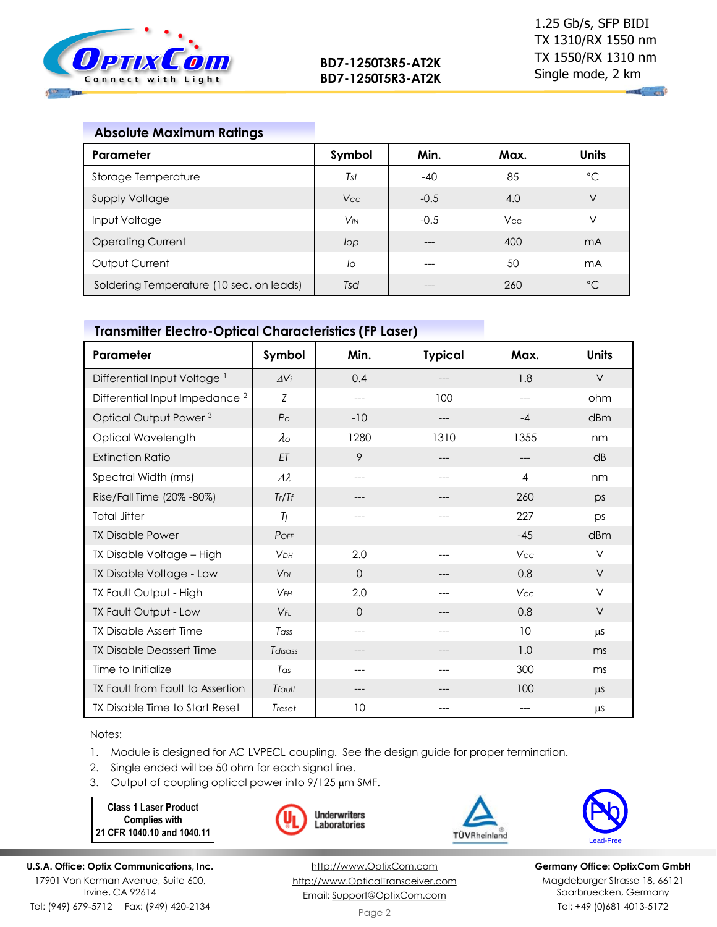

| <b>Absolute Maximum Ratings</b>          |          |        |            |                |
|------------------------------------------|----------|--------|------------|----------------|
| Parameter                                | Symbol   | Min.   | Max.       | <b>Units</b>   |
| Storage Temperature                      | Tst      | $-40$  | 85         | $^{\circ}C$    |
| <b>Supply Voltage</b>                    | Vcc      | $-0.5$ | 4.0        | V              |
| Input Voltage                            | $V_{IN}$ | $-0.5$ | <b>Vcc</b> | ν              |
| <b>Operating Current</b>                 | lop      |        | 400        | m <sub>A</sub> |
| Output Current                           | lo       |        | 50         | mA             |
| Soldering Temperature (10 sec. on leads) | Tsd      |        | 260        | $^{\circ}C$    |

# **Transmitter Electro-Optical Characteristics (FP Laser)**

| Parameter                                 | Symbol                 | Min.           | <b>Typical</b> | Max.           | <b>Units</b> |
|-------------------------------------------|------------------------|----------------|----------------|----------------|--------------|
| Differential Input Voltage <sup>1</sup>   | $\Delta$ Vi            | 0.4            |                | 1.8            | $\vee$       |
| Differential Input Impedance <sup>2</sup> | Z                      | ---            | 100            |                | ohm          |
| Optical Output Power <sup>3</sup>         | P <sub>O</sub>         | $-10$          | ---            | $-4$           | dBm          |
| Optical Wavelength                        | $\lambda \circ$        | 1280           | 1310           | 1355           | nm           |
| <b>Extinction Ratio</b>                   | ET                     | 9              | ---            | ---            | dB           |
| Spectral Width (rms)                      | $\varDelta\lambda$     | ---            |                | $\overline{4}$ | nm           |
| Rise/Fall Time (20% -80%)                 | Tr/Tf                  | ---            |                | 260            | ps           |
| <b>Total Jitter</b>                       | Tj                     | ---            | ---            | 227            | ps           |
| <b>TX Disable Power</b>                   | POFF                   |                |                | $-45$          | dBm          |
| TX Disable Voltage - High                 | <b>VDH</b>             | 2.0            | ---            | Vcc            | $\vee$       |
| TX Disable Voltage - Low                  | <b>V</b> <sub>DL</sub> | $\overline{0}$ |                | 0.8            | V            |
| TX Fault Output - High                    | $V$ FH                 | 2.0            |                | Vcc            | $\vee$       |
| TX Fault Output - Low                     | $V_{FL}$               | 0              |                | 0.8            | V            |
| <b>TX Disable Assert Time</b>             | Tass                   | ---            |                | 10             | μS           |
| <b>TX Disable Deassert Time</b>           | Tdisass                | ---            | ---            | 1.0            | ms           |
| Time to Initialize                        | Tas                    | ---            |                | 300            | ms           |
| TX Fault from Fault to Assertion          | Tfault                 | ---            |                | 100            | $\mu$ S      |
| TX Disable Time to Start Reset            | Treset                 | 10             |                |                | μS           |

Notes:

- 1. Module is designed for AC LVPECL coupling. See the design guide for proper termination.
- 2. Single ended will be 50 ohm for each signal line.
- 3. Output of coupling optical power into  $9/125 \mu m$  SMF.

**Class 1 Laser Product Complies with 21 CFR 1040.10 and 1040.11**







**Germany Office: OptixCom GmbH** Magdeburger Strasse 18, 66121 Saarbruecken, Germany Tel: +49 (0)681 4013-5172

**U.S.A. Office: Optix Communications, Inc.** 17901 Von Karman Avenue, Suite 600,

Irvine, CA 92614 Tel: (949) 679-5712 Fax: (949) 420-2134

[http://www.OptixCom.com](http://www.optixcom.com/) [http://www.OpticalTransceiver.com](http://www.optoictech.com/) Email: [Support@OptixCom.com](mailto:Support@optoICtech.com)

Page 2